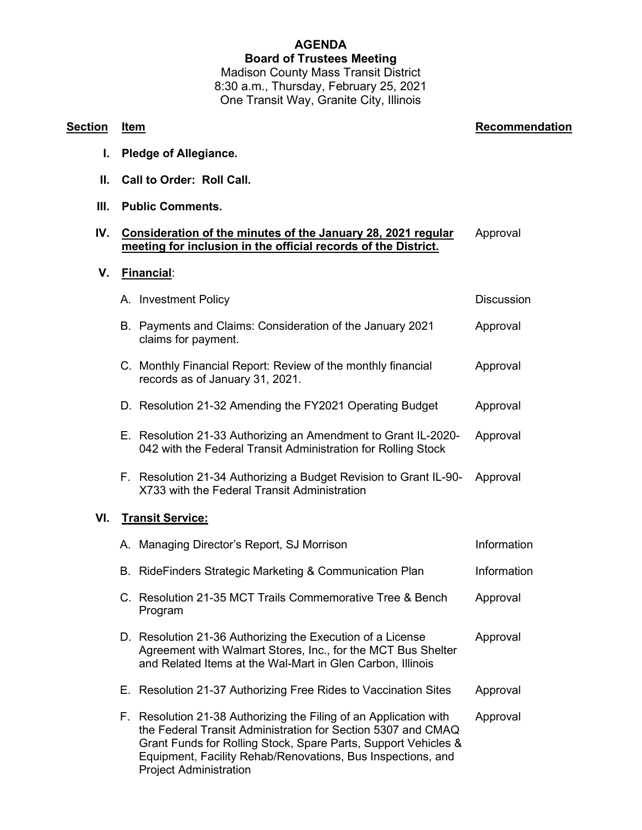# **AGENDA**

**Board of Trustees Meeting** Madison County Mass Transit District 8:30 a.m., Thursday, February 25, 2021

One Transit Way, Granite City, Illinois

## **Section Item Recommendation I. Pledge of Allegiance. II. Call to Order: Roll Call. III. Public Comments. IV. Consideration of the minutes of the January 28, 2021 regular meeting for inclusion in the official records of the District.** Approval **V. Financial**: A. Investment Policy **Discussion** B. Payments and Claims: Consideration of the January 2021 claims for payment. Approval C. Monthly Financial Report: Review of the monthly financial records as of January 31, 2021. Approval D. Resolution 21-32 Amending the FY2021 Operating Budget Approval E. Resolution 21-33 Authorizing an Amendment to Grant IL-2020- 042 with the Federal Transit Administration for Rolling Stock Approval F. Resolution 21-34 Authorizing a Budget Revision to Grant IL-90- X733 with the Federal Transit Administration Approval **VI. Transit Service:** A. Managing Director's Report, SJ Morrison **Information** Information B. RideFinders Strategic Marketing & Communication Plan Information C. Resolution 21-35 MCT Trails Commemorative Tree & Bench Program Approval D. Resolution 21-36 Authorizing the Execution of a License Agreement with Walmart Stores, Inc., for the MCT Bus Shelter and Related Items at the Wal-Mart in Glen Carbon, Illinois Approval E. Resolution 21-37 Authorizing Free Rides to Vaccination Sites Approval F. Resolution 21-38 Authorizing the Filing of an Application with the Federal Transit Administration for Section 5307 and CMAQ Grant Funds for Rolling Stock, Spare Parts, Support Vehicles & Equipment, Facility Rehab/Renovations, Bus Inspections, and Approval

Project Administration